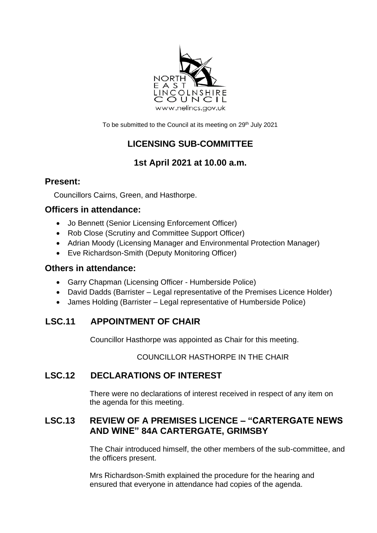

To be submitted to the Council at its meeting on 29<sup>th</sup> July 2021

# **LICENSING SUB-COMMITTEE**

## **1st April 2021 at 10.00 a.m.**

### **Present:**

Councillors Cairns, Green, and Hasthorpe.

### **Officers in attendance:**

- Jo Bennett (Senior Licensing Enforcement Officer)
- Rob Close (Scrutiny and Committee Support Officer)
- Adrian Moody (Licensing Manager and Environmental Protection Manager)
- Eve Richardson-Smith (Deputy Monitoring Officer)

#### **Others in attendance:**

- Garry Chapman (Licensing Officer Humberside Police)
- David Dadds (Barrister Legal representative of the Premises Licence Holder)
- James Holding (Barrister Legal representative of Humberside Police)

# **LSC.11 APPOINTMENT OF CHAIR**

Councillor Hasthorpe was appointed as Chair for this meeting.

COUNCILLOR HASTHORPE IN THE CHAIR

## **LSC.12 DECLARATIONS OF INTEREST**

There were no declarations of interest received in respect of any item on the agenda for this meeting.

### **LSC.13 REVIEW OF A PREMISES LICENCE – "CARTERGATE NEWS AND WINE" 84A CARTERGATE, GRIMSBY**

The Chair introduced himself, the other members of the sub-committee, and the officers present.

Mrs Richardson-Smith explained the procedure for the hearing and ensured that everyone in attendance had copies of the agenda.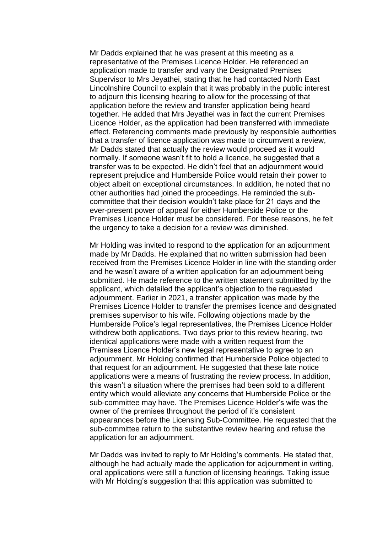Mr Dadds explained that he was present at this meeting as a representative of the Premises Licence Holder. He referenced an application made to transfer and vary the Designated Premises Supervisor to Mrs Jeyathei, stating that he had contacted North East Lincolnshire Council to explain that it was probably in the public interest to adjourn this licensing hearing to allow for the processing of that application before the review and transfer application being heard together. He added that Mrs Jeyathei was in fact the current Premises Licence Holder, as the application had been transferred with immediate effect. Referencing comments made previously by responsible authorities that a transfer of licence application was made to circumvent a review, Mr Dadds stated that actually the review would proceed as it would normally. If someone wasn't fit to hold a licence, he suggested that a transfer was to be expected. He didn't feel that an adjournment would represent prejudice and Humberside Police would retain their power to object albeit on exceptional circumstances. In addition, he noted that no other authorities had joined the proceedings. He reminded the subcommittee that their decision wouldn't take place for 21 days and the ever-present power of appeal for either Humberside Police or the Premises Licence Holder must be considered. For these reasons, he felt the urgency to take a decision for a review was diminished.

Mr Holding was invited to respond to the application for an adjournment made by Mr Dadds. He explained that no written submission had been received from the Premises Licence Holder in line with the standing order and he wasn't aware of a written application for an adjournment being submitted. He made reference to the written statement submitted by the applicant, which detailed the applicant's objection to the requested adjournment. Earlier in 2021, a transfer application was made by the Premises Licence Holder to transfer the premises licence and designated premises supervisor to his wife. Following objections made by the Humberside Police's legal representatives, the Premises Licence Holder withdrew both applications. Two days prior to this review hearing, two identical applications were made with a written request from the Premises Licence Holder's new legal representative to agree to an adjournment. Mr Holding confirmed that Humberside Police objected to that request for an adjournment. He suggested that these late notice applications were a means of frustrating the review process. In addition, this wasn't a situation where the premises had been sold to a different entity which would alleviate any concerns that Humberside Police or the sub-committee may have. The Premises Licence Holder's wife was the owner of the premises throughout the period of it's consistent appearances before the Licensing Sub-Committee. He requested that the sub-committee return to the substantive review hearing and refuse the application for an adjournment.

Mr Dadds was invited to reply to Mr Holding's comments. He stated that, although he had actually made the application for adjournment in writing, oral applications were still a function of licensing hearings. Taking issue with Mr Holding's suggestion that this application was submitted to